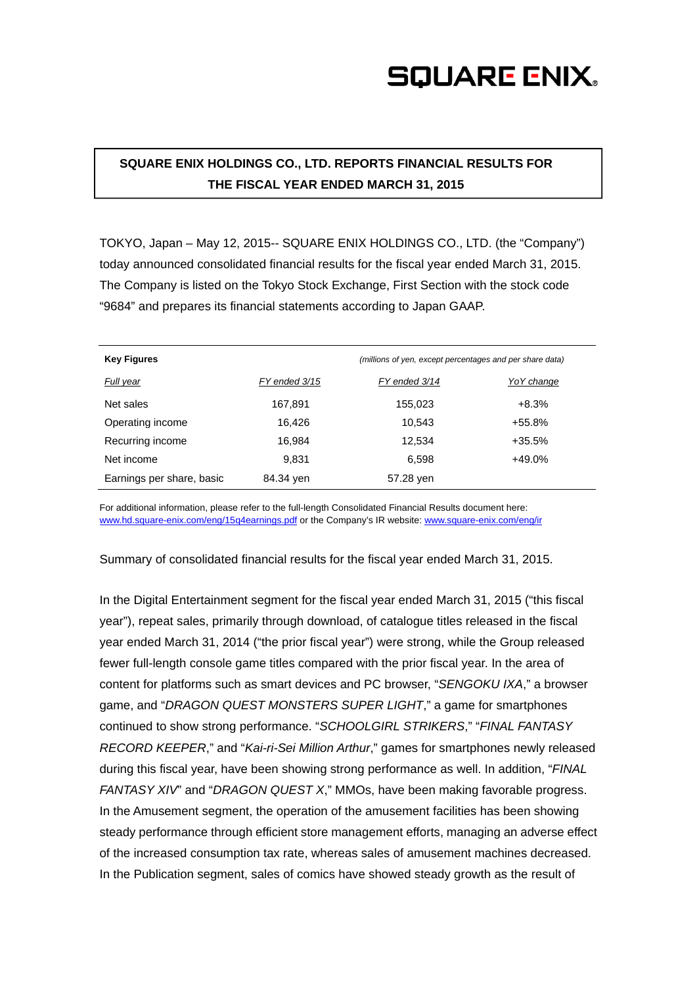## **SQUARE ENIX.**

### **SQUARE ENIX HOLDINGS CO., LTD. REPORTS FINANCIAL RESULTS FOR THE FISCAL YEAR ENDED MARCH 31, 2015**

TOKYO, Japan – May 12, 2015-- SQUARE ENIX HOLDINGS CO., LTD. (the "Company") today announced consolidated financial results for the fiscal year ended March 31, 2015. The Company is listed on the Tokyo Stock Exchange, First Section with the stock code "9684" and prepares its financial statements according to Japan GAAP.

| <b>Key Figures</b>        | (millions of yen, except percentages and per share data) |               |             |
|---------------------------|----------------------------------------------------------|---------------|-------------|
| Full year                 | FY ended 3/15                                            | FY ended 3/14 | Yo Y change |
| Net sales                 | 167,891                                                  | 155,023       | $+8.3%$     |
| Operating income          | 16.426                                                   | 10.543        | $+55.8%$    |
| Recurring income          | 16.984                                                   | 12.534        | $+35.5%$    |
| Net income                | 9.831                                                    | 6,598         | +49.0%      |
| Earnings per share, basic | 84.34 yen                                                | 57.28 yen     |             |

For additional information, please refer to the full-length Consolidated Financial Results document here: www.hd.square-enix.com/eng/15q4earnings.pdf or the Company's IR website: www.square-enix.com/eng/ir

Summary of consolidated financial results for the fiscal year ended March 31, 2015.

In the Digital Entertainment segment for the fiscal year ended March 31, 2015 ("this fiscal year"), repeat sales, primarily through download, of catalogue titles released in the fiscal year ended March 31, 2014 ("the prior fiscal year") were strong, while the Group released fewer full-length console game titles compared with the prior fiscal year. In the area of content for platforms such as smart devices and PC browser, "*SENGOKU IXA*," a browser game, and "*DRAGON QUEST MONSTERS SUPER LIGHT*," a game for smartphones continued to show strong performance. "*SCHOOLGIRL STRIKERS*," "*FINAL FANTASY RECORD KEEPER*," and "*Kai-ri-Sei Million Arthur*," games for smartphones newly released during this fiscal year, have been showing strong performance as well. In addition, "*FINAL FANTASY XIV*" and "*DRAGON QUEST X*," MMOs, have been making favorable progress. In the Amusement segment, the operation of the amusement facilities has been showing steady performance through efficient store management efforts, managing an adverse effect of the increased consumption tax rate, whereas sales of amusement machines decreased. In the Publication segment, sales of comics have showed steady growth as the result of